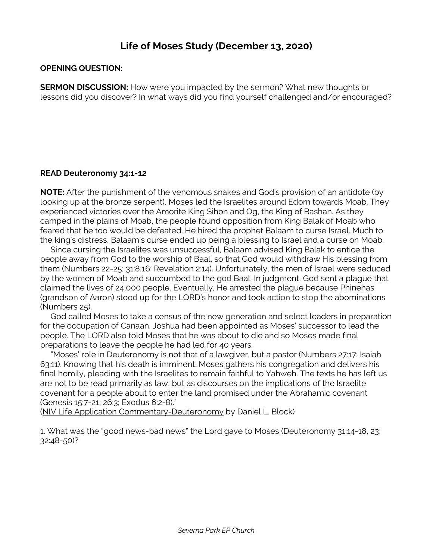## **Life of Moses Study (December 13, 2020)**

## **OPENING QUESTION:**

**SERMON DISCUSSION:** How were you impacted by the sermon? What new thoughts or lessons did you discover? In what ways did you find yourself challenged and/or encouraged?

## **READ Deuteronomy 34:1-12**

**NOTE:** After the punishment of the venomous snakes and God's provision of an antidote (by looking up at the bronze serpent), Moses led the Israelites around Edom towards Moab. They experienced victories over the Amorite King Sihon and Og, the King of Bashan. As they camped in the plains of Moab, the people found opposition from King Balak of Moab who feared that he too would be defeated. He hired the prophet Balaam to curse Israel. Much to the king's distress, Balaam's curse ended up being a blessing to Israel and a curse on Moab.

 Since cursing the Israelites was unsuccessful, Balaam advised King Balak to entice the people away from God to the worship of Baal, so that God would withdraw His blessing from them (Numbers 22-25; 31:8,16; Revelation 2:14). Unfortunately, the men of Israel were seduced by the women of Moab and succumbed to the god Baal. In judgment, God sent a plague that claimed the lives of 24,000 people. Eventually, He arrested the plague because Phinehas (grandson of Aaron) stood up for the LORD's honor and took action to stop the abominations (Numbers 25).

 God called Moses to take a census of the new generation and select leaders in preparation for the occupation of Canaan. Joshua had been appointed as Moses' successor to lead the people. The LORD also told Moses that he was about to die and so Moses made final preparations to leave the people he had led for 40 years.

 "Moses' role in Deuteronomy is not that of a lawgiver, but a pastor (Numbers 27:17; Isaiah 63:11). Knowing that his death is imminent…Moses gathers his congregation and delivers his final homily, pleading with the Israelites to remain faithful to Yahweh. The texts he has left us are not to be read primarily as law, but as discourses on the implications of the Israelite covenant for a people about to enter the land promised under the Abrahamic covenant (Genesis 15:7-21; 26:3; Exodus 6:2-8)."

(NIV Life Application Commentary-Deuteronomy by Daniel L. Block)

1. What was the "good news-bad news" the Lord gave to Moses (Deuteronomy 31:14-18, 23; 32:48-50)?